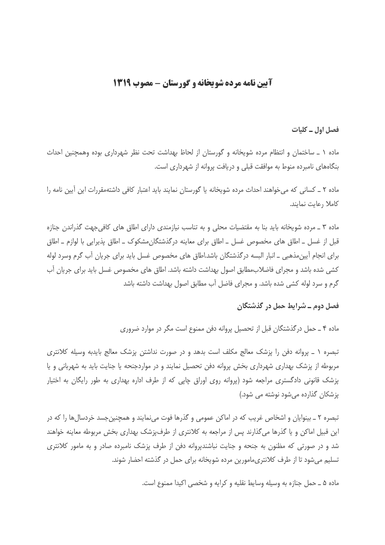## **آیین نامه مرده شویخانه و گورستان - مصوب 1319**

فصل اول ـ کلیات

ماده ۱ ـ ساختمان و انتظام مرده شویخانه و گورستان از لحاظ بهداشت تحت نظر شهرداری بوده وهمچنین احداث بنگاههای نامبرده منوط به موافقت قبلی و دریافت پروانه از شهرداری است.

ماده ۲ ــ کسانی که میخواهند احداث مرده شویخانه یا گورستان نمایند باید اعتبار کافی داشتهمقررات این آیین نامه را كاملا رعايت نمايند.

ماده ۳ ـ مرده شویخانه باید بنا به مقتضیات محلی و به تناسب نیازمندی دارای اطاق های کافیجهت گذراندن جنازه قبل از غسل ــ اطاق های مخصوص غسل ــ اطاق برای معاینه درگذشتگان،مشکوک ــ اطاق پذیرایی با لوازم ــ اطاق برای انجام اَپینِ مذهبی ـ انبار البسه درگذشتگان باشد.اطاق های مخصوص غسل باید برای جریان اَب گرم وسرد لوله کشی شده باشد و مجرای فاضلابمطابق اصول بهداشت داشته باشد. اطاق های مخصوص غسل باید برای جریان آب گرم و سرد لوله کشی شده باشد. و مجرای فاضل آب مطابق اصول بهداشت داشته باشد

## فصل دوم ـ شرایط حمل در گذشتگان

ماده ۴ ـ حمل درگذشتگان قبل از تحصیل پروانه دفن ممنوع است مگر در موارد ضروری

تبصره ١ ـ پروانه دفن را پزشک معالج مکلف است بدهد و در صورت نداشتن پزشک معالج بایدبه وسیله کلانتری مربوطه از پزشک بهداری شهرداری بخش پروانه دفن تحصیل نمایند و در مواردجنحه یا جنایت باید به شهربانی و یا پزشک قانونی دادگستری مراجعه شود (پروانه روی اوراق چاپی که از طرف اداره بهداری به طور رایگان به اختیار یزشکان گذارده مے شود نوشته می شود.)

تبصره ۲ ـ بینوایان و اشخاص غریب که در اماکن عمومی و گذرها فوت می،نمایند و همچنین جسد خردسال ها را که در این قبیل اماکن و یا گذرها میگذارند پس از مراجعه به کلانتری از طرف،پزشک بهداری بخش مربوطه معاینه خواهند شد و در صورتی که مظنون به جنحه و جنایت نباشندیروانه دفن از طرف پزشک نامبرده صادر و به مامور کلانتری تسلیم می شود تا از طرف کلانتری،امورین مرده شویخانه برای حمل در گذشته احضار شوند.

ماده ۵ ــ حمل جنازه به وسیله وسایط نقلیه و کرایه و شخصی اکیدا ممنوع است.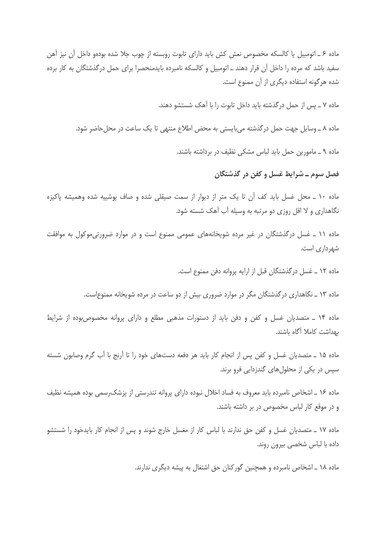ماده ۶ ـ اتومبیل یا کالسکه مخصوص نعش کش باید دارای تابوت روبسته از چوب جلا شده بودهو داخل آن نیز آهن سفید باشد که مرده را داخل آن قرار دهند ــ اتومبیل و کالسکه نامبرده بایدمنحصرا برای حمل درگذشتگان به کار برده شده هرگونه استفاده دیگری از آن ممنوع است.

ماده ۷ ـ پس از حمل درگذشته باید داخل تابوت را با آهک شستشو دهند.

ماده ۸ ـ وسایل جهت حمل در گذشته می بایستی به محض اطلاع منتهی تا یک ساعت در محل حاضر شود.

ماده ۹ ـ مامورین حمل باید لباس مشکی نظیف در برداشته باشند.

فصل سوم ـ شرايط غسل و کفن در گذشتگان

ماده ۱۰ ـ محل غسل باید کف آن تا یک متر از دیوار از سمت صیقلی شده و صاف پوشییه شده وهمیشه پاکیزه نگاهداری و لا اقل روزی دو مرتبه به وسیله آب آهک شسته شود.

ماده ۱۱ ـ غسل درگذشتگان در غیر مرده شویخانههای عمومی ممنوع است و در موارد ضرورتیموکول به موافقت شهرداری است.

ماده ١٢ ـ غسل درگذشتگان قبل از ارايه پروانه دفن ممنوع است.

ماده ۱۳ ـ نگاهداری درگذشتگان مگر در موارد ضروری بیش از دو ساعت در مرده شویخانه ممنوع|ست.

ماده ۱۴ ـ متصدیان غسل و کفن و دفن باید از دستورات مذهبی مطلع و دارای پروانه مخصوصبوده از شرایط بهداشت كاملا آگاه باشند.

ماده ۱۵ ـ متصدیان غسل و کفن پس از انجام کار باید هر دفعه دستهای خود را تا اَرنج با اَب گرم وصابون شسته سپس در یکی از محلولهای گندزدایی فرو برند.

ماده ۱۶ ـ اشخاص نامبرده باید معروف به فساد اخلال نبوده دارای پروانه تندرستی از پزشک رسمی بوده همیشه نظیف و در موقع کار لباس مخصوص در بر داشته باشند.

ماده ۱۷ ــ متصدیان غسل و کفن حق ندارند با لباس کار از مغسل خارج شوند و پس از انجام کار بایدخود را شستشو داده با لباس شخصی بیرون روند.

ماده ۱۸ ـ اشخاص نامبرده و همچنین گورکنان حق اشتغال به پیشه دیگری ندارند.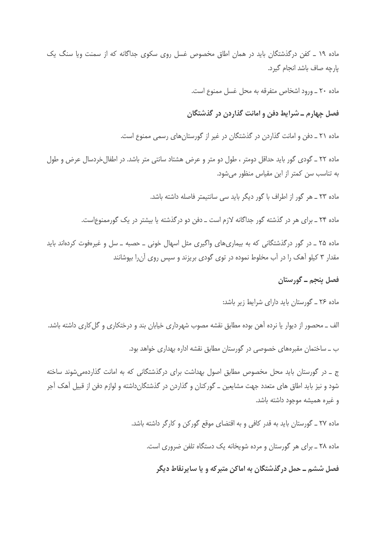ماده ۱۹ ـ کفن درگذشتگان باید در همان اطاق مخصوص غسل روی سکوی جداگانه که از سمنت ویا سنگ یک پارچه صاف باشد انجام گیرد.

ماده ۲۰ ـ ورود اشخاص متفرقه به محل غسل ممنوع است.

فصل چهارم ــ شرایط دفن و امانت گذاردن در گذشتگان

ماده ۲۱ ـ دفن و امانت گذاردن در گذشتگان در غیر از گورستانهای رسمی ممنوع است.

ماده ٢٢ ـ گودى گور بايد حداقل دومتر ، طول دو متر و عرض هشتاد سانتى متر باشد. در اطفال خردسال عرض و طول به تناسب سن كمتر از اين مقياس منظور مي شود.

ماده ٢٣ ـ هر گور از اطراف با گور ديگر بايد سي سانتيمتر فاصله داشته باشد.

ماده ۲۴ ـ برای هر در گذشته گور جداگانه لازم است ـ دفن دو درگذشته یا بیشتر در یک گورممنوعاست.

ماده ۲۵ ـ در گور درگذشتگانی که به بیماریهای واگیری مثل اسهال خونی ـ حصبه ـ سل و غیرهفوت کردهاند باید مقدار ۳ کیلو آهک را در آب مخلوط نموده در توی گودی بریزند و سپس روی آن را بپوشانند

## فصل پنجم ــ گورستان

ماده ۲۶ ـ گورستان باید دارای شرایط زیر باشد:

الف ــ محصور از دیوار یا نرده آهن بوده مطابق نقشه مصوب شهرداری خیابان بند و درختکاری و گل کاری داشته باشد. ب \_ ساختمان مقبرههای خصوصی در گورستان مطابق نقشه اداره بهداری خواهد بود.

ج \_ در گورستان باید محل مخصوص مطابق اصول بهداشت برای درگذشتگانی که به امانت گذاردهمی شوند ساخته شود و نیز باید اطاق های متعدد جهت مشایعین ــ گورکنان و گذاردن در گذشتگانداشته و لوازم دفن از قبیل آهک آجر و غیره همیشه موجود داشته باشد.

ماده ۲۷ ـ گورستان باید به قدر کافی و به اقتضای موقع گورکن و کارگر داشته باشد.

ماده ۲۸ ـ برای هر گورستان و مرده شویخانه یک دستگاه تلفن ضروری است.

فصل ششم ــ حمل در گذشتگان به اماکن متبر که و یا سایرنقاط دیگر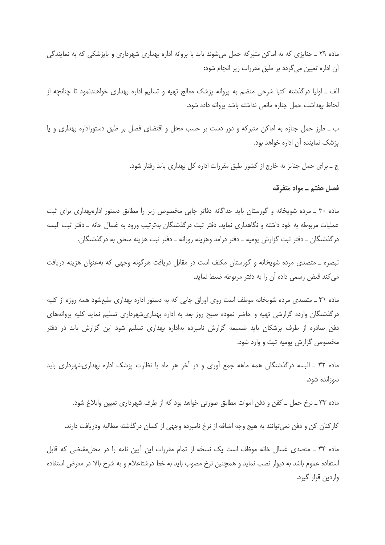ماده ۲۹ ــ جنایزی که به اماکن متبرکه حمل می شوند باید با پروانه اداره بهداری شهرداری و پایزشکی که به نمایندگی آن اداره تعیین می گردد بر طبق مقررات زیر انجام شود:

الف \_ اولیا درگذشته کتبا شرحی منضم به پروانه پزشک معالج تهیه و تسلیم اداره بهداری خواهندنمود تا چنانچه از لحاظ بهداشت حمل جنازه مانعي نداشته باشد پروانه داده شود.

ب ــ طرز حمل جنازه به اماکن متبرکه و دور دست بر حسب محل و اقتضای فصل بر طبق دستوراداره بهداری و یا يزشک نماينده آن اداره خواهد بود.

ج ــ برای حمل جنایز به خارج از کشور طبق مقررات اداره کل بهداری باید رفتار شود.

## فصل هفتم ــ مواد متفرقه

ماده ۳۰ ـ مرده شویخانه و گورستان باید جداگانه دفاتر چاپی مخصوص زیر را مطابق دستور ادارهبهداری برای ثبت عملیات مربوطه به خود داشته و نگاهداری نماید. دفتر ثبت درگذشتگان بهترتیب ورود به غسال خانه ــ دفتر ثبت البسه درگذشتگان ــ دفتر ثبت گزارش پومیه ــ دفتر درامد وهزینه روزانه ــ دفتر ثبت هزینه متعلق به درگذشتگان.

تبصره \_ متصدى مرده شويخانه و گورستان مكلف است در مقابل دريافت هرگونه وجهى كه بهعنوان هزينه دريافت می کند قبض رسمی داده آن را به دفتر مربوطه ضبط نماید.

ماده ۳۱ ـ متصدی مرده شویخانه موظف است روی اوراق چاپی که به دستور اداره بهداری طبعشود همه روزه از کلیه درگذشتگان وارده گزارشی تهیه و حاضر نموده صبح روز بعد به اداره بهداریشهرداری تسلیم نماید کلیه پروانههای دفن صادره از طرف پزشکان باید ضمیمه گزارش نامبرده بهاداره بهداری تسلیم شود این گزارش باید در دفتر مخصوص گزارش یومیه ثبت و وارد شود.

ماده ۳۲ ـ البسه درگذشتگان همه ماهه جمع اَوری و در اَخر هر ماه با نظارت پزشک اداره بهداریشهرداری باید سوزانده شود.

ماده ٣٣ ـ نرخ حمل ــ كفن و دفن اموات مطابق صورتي خواهد بود كه از طرف شهرداري تعيين وابلاغ شود.

كاركنان كن و دفن نمى توانند به هيچ وجه اضافه از نرخ نامبرده وجهى از كسان درگذشته مطالبه ودريافت دارند.

ماده ٣۴ ـ متصدى غسال خانه موظف است يک نسخه از تمام مقررات اين آيين نامه را در محل مقتضى که قابل استفاده عموم باشد به دیوار نصب نماید و همچنین نرخ مصوب باید به خط درشتاعلام و به شرح بالا در معرض استفاده واردین قرار گیرد.